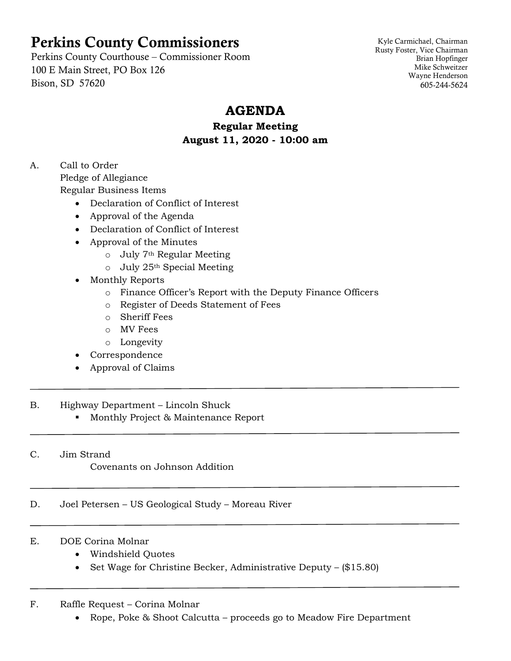# Perkins County Commissioners

Perkins County Courthouse – Commissioner Room 100 E Main Street, PO Box 126 Bison, SD 57620

Kyle Carmichael, Chairman Rusty Foster, Vice Chairman Brian Hopfinger Mike Schweitzer Wayne Henderson 605-244-5624

## **AGENDA**

### **Regular Meeting August 11, 2020 - 10:00 am**

A. Call to Order Pledge of Allegiance Regular Business Items

- Declaration of Conflict of Interest
- Approval of the Agenda
- Declaration of Conflict of Interest
- Approval of the Minutes
	- o July 7th Regular Meeting
	- $\circ$  July 25<sup>th</sup> Special Meeting
- Monthly Reports
	- o Finance Officer's Report with the Deputy Finance Officers
	- o Register of Deeds Statement of Fees
	- o Sheriff Fees
	- o MV Fees
	- o Longevity
- Correspondence
- Approval of Claims

#### B. Highway Department – Lincoln Shuck

■ Monthly Project & Maintenance Report

C. Jim Strand

Covenants on Johnson Addition

D. Joel Petersen – US Geological Study – Moreau River

#### E. DOE Corina Molnar

- Windshield Quotes
- Set Wage for Christine Becker, Administrative Deputy (\$15.80)

#### F. Raffle Request – Corina Molnar

• Rope, Poke & Shoot Calcutta – proceeds go to Meadow Fire Department